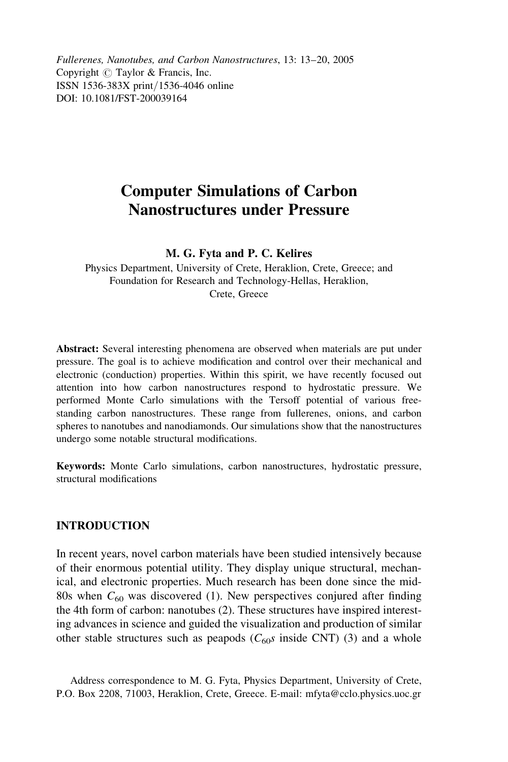Fullerenes, Nanotubes, and Carbon Nanostructures, 13: 13–20, 2005 Copyright  $\circled{c}$  Taylor & Francis, Inc. ISSN 1536-383X print*/*1536-4046 online DOI: 10.1081/FST-200039164

# Computer Simulations of Carbon Nanostructures under Pressure

## M. G. Fyta and P. C. Kelires

Physics Department, University of Crete, Heraklion, Crete, Greece; and Foundation for Research and Technology-Hellas, Heraklion, Crete, Greece

Abstract: Several interesting phenomena are observed when materials are put under pressure. The goal is to achieve modification and control over their mechanical and electronic (conduction) properties. Within this spirit, we have recently focused out attention into how carbon nanostructures respond to hydrostatic pressure. We performed Monte Carlo simulations with the Tersoff potential of various freestanding carbon nanostructures. These range from fullerenes, onions, and carbon spheres to nanotubes and nanodiamonds. Our simulations show that the nanostructures undergo some notable structural modifications.

Keywords: Monte Carlo simulations, carbon nanostructures, hydrostatic pressure, structural modifications

## INTRODUCTION

In recent years, novel carbon materials have been studied intensively because of their enormous potential utility. They display unique structural, mechanical, and electronic properties. Much research has been done since the mid-80s when  $C_{60}$  was discovered (1). New perspectives conjured after finding the 4th form of carbon: nanotubes (2). These structures have inspired interesting advances in science and guided the visualization and production of similar other stable structures such as peapods ( $C_{60}$ s inside CNT) (3) and a whole

Address correspondence to M. G. Fyta, Physics Department, University of Crete, P.O. Box 2208, 71003, Heraklion, Crete, Greece. E-mail: mfyta@cclo.physics.uoc.gr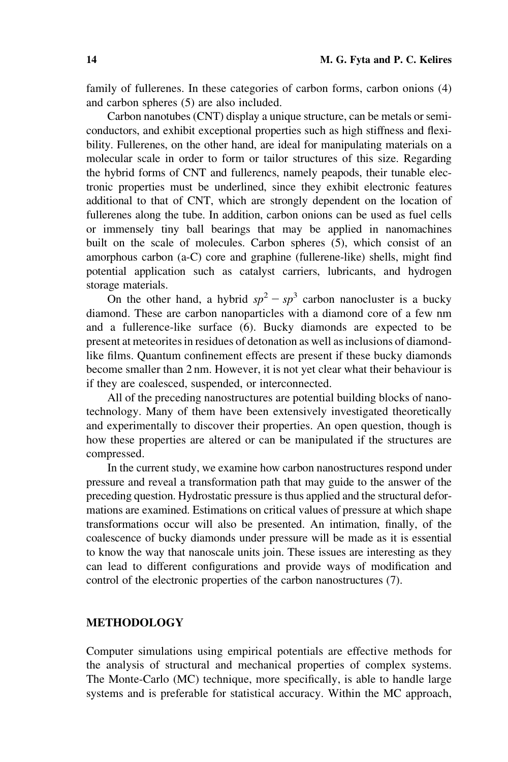family of fullerenes. In these categories of carbon forms, carbon onions (4) and carbon spheres (5) are also included.

Carbon nanotubes (CNT) display a unique structure, can be metals or semiconductors, and exhibit exceptional properties such as high stiffness and flexibility. Fullerenes, on the other hand, are ideal for manipulating materials on a molecular scale in order to form or tailor structures of this size. Regarding the hybrid forms of CNT and fullerencs, namely peapods, their tunable electronic properties must be underlined, since they exhibit electronic features additional to that of CNT, which are strongly dependent on the location of fullerenes along the tube. In addition, carbon onions can be used as fuel cells or immensely tiny ball bearings that may be applied in nanomachines built on the scale of molecules. Carbon spheres (5), which consist of an amorphous carbon (a-C) core and graphine (fullerene-like) shells, might find potential application such as catalyst carriers, lubricants, and hydrogen storage materials.

On the other hand, a hybrid  $sp^2 - sp^3$  carbon nanocluster is a bucky diamond. These are carbon nanoparticles with a diamond core of a few nm and a fullerence-like surface (6). Bucky diamonds are expected to be present at meteorites in residues of detonation as well as inclusions of diamondlike films. Quantum confinement effects are present if these bucky diamonds become smaller than 2 nm. However, it is not yet clear what their behaviour is if they are coalesced, suspended, or interconnected.

All of the preceding nanostructures are potential building blocks of nanotechnology. Many of them have been extensively investigated theoretically and experimentally to discover their properties. An open question, though is how these properties are altered or can be manipulated if the structures are compressed.

In the current study, we examine how carbon nanostructures respond under pressure and reveal a transformation path that may guide to the answer of the preceding question. Hydrostatic pressure is thus applied and the structural deformations are examined. Estimations on critical values of pressure at which shape transformations occur will also be presented. An intimation, finally, of the coalescence of bucky diamonds under pressure will be made as it is essential to know the way that nanoscale units join. These issues are interesting as they can lead to different configurations and provide ways of modification and control of the electronic properties of the carbon nanostructures (7).

## METHODOLOGY

Computer simulations using empirical potentials are effective methods for the analysis of structural and mechanical properties of complex systems. The Monte-Carlo (MC) technique, more specifically, is able to handle large systems and is preferable for statistical accuracy. Within the MC approach,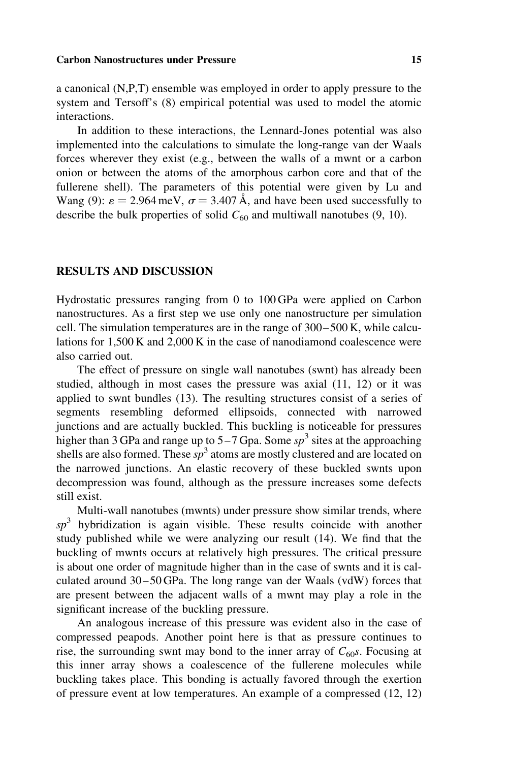#### Carbon Nanostructures under Pressure 15

a canonical (N,P,T) ensemble was employed in order to apply pressure to the system and Tersoff's (8) empirical potential was used to model the atomic interactions.

In addition to these interactions, the Lennard-Jones potential was also implemented into the calculations to simulate the long-range van der Waals forces wherever they exist (e.g., between the walls of a mwnt or a carbon onion or between the atoms of the amorphous carbon core and that of the fullerene shell). The parameters of this potential were given by Lu and Wang (9):  $\varepsilon = 2.964 \,\text{meV}$ ,  $\sigma = 3.407 \,\text{\AA}$ , and have been used successfully to describe the bulk properties of solid  $C_{60}$  and multiwall nanotubes (9, 10).

## RESULTS AND DISCUSSION

Hydrostatic pressures ranging from 0 to 100 GPa were applied on Carbon nanostructures. As a first step we use only one nanostructure per simulation cell. The simulation temperatures are in the range of 300 –500 K, while calculations for 1,500 K and 2,000 K in the case of nanodiamond coalescence were also carried out.

The effect of pressure on single wall nanotubes (swnt) has already been studied, although in most cases the pressure was axial (11, 12) or it was applied to swnt bundles (13). The resulting structures consist of a series of segments resembling deformed ellipsoids, connected with narrowed junctions and are actually buckled. This buckling is noticeable for pressures higher than 3 GPa and range up to  $5-7$  Gpa. Some  $sp<sup>3</sup>$  sites at the approaching shells are also formed. These  $sp^3$  atoms are mostly clustered and are located on the narrowed junctions. An elastic recovery of these buckled swnts upon decompression was found, although as the pressure increases some defects still exist.

Multi-wall nanotubes (mwnts) under pressure show similar trends, where  $sp<sup>3</sup>$  hybridization is again visible. These results coincide with another study published while we were analyzing our result (14). We find that the buckling of mwnts occurs at relatively high pressures. The critical pressure is about one order of magnitude higher than in the case of swnts and it is calculated around 30 – 50 GPa. The long range van der Waals (vdW) forces that are present between the adjacent walls of a mwnt may play a role in the significant increase of the buckling pressure.

An analogous increase of this pressure was evident also in the case of compressed peapods. Another point here is that as pressure continues to rise, the surrounding swnt may bond to the inner array of  $C_{60}$ s. Focusing at this inner array shows a coalescence of the fullerene molecules while buckling takes place. This bonding is actually favored through the exertion of pressure event at low temperatures. An example of a compressed (12, 12)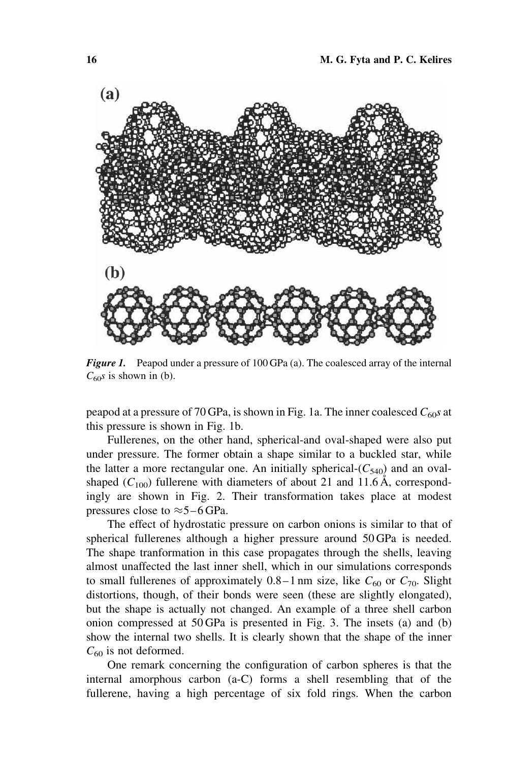

Figure 1. Peapod under a pressure of 100 GPa (a). The coalesced array of the internal  $C_{60}s$  is shown in (b).

peapod at a pressure of 70 GPa, is shown in Fig. 1a. The inner coalesced  $C_{60}$ s at this pressure is shown in Fig. 1b.

Fullerenes, on the other hand, spherical-and oval-shaped were also put under pressure. The former obtain a shape similar to a buckled star, while the latter a more rectangular one. An initially spherical- $(C_{540})$  and an ovalshaped  $(C_{100})$  fullerene with diameters of about 21 and 11.6 Å, correspondingly are shown in Fig. 2. Their transformation takes place at modest pressures close to  $\approx$  5–6 GPa.

The effect of hydrostatic pressure on carbon onions is similar to that of spherical fullerenes although a higher pressure around 50 GPa is needed. The shape tranformation in this case propagates through the shells, leaving almost unaffected the last inner shell, which in our simulations corresponds to small fullerenes of approximately  $0.8-1$  nm size, like  $C_{60}$  or  $C_{70}$ . Slight distortions, though, of their bonds were seen (these are slightly elongated), but the shape is actually not changed. An example of a three shell carbon onion compressed at 50 GPa is presented in Fig. 3. The insets (a) and (b) show the internal two shells. It is clearly shown that the shape of the inner  $C_{60}$  is not deformed.

One remark concerning the configuration of carbon spheres is that the internal amorphous carbon (a-C) forms a shell resembling that of the fullerene, having a high percentage of six fold rings. When the carbon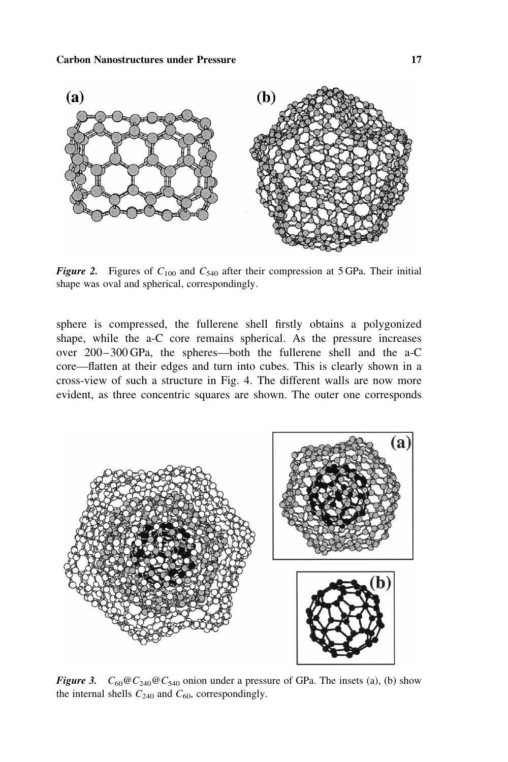

**Figure 2.** Figures of  $C_{100}$  and  $C_{540}$  after their compression at 5 GPa. Their initial shape was oval and spherical, correspondingly.

sphere is compressed, the fullerene shell firstly obtains a polygonized shape, while the a-C core remains spherical. As the pressure increases over 200– 300 GPa, the spheres—both the fullerene shell and the a-C core—flatten at their edges and turn into cubes. This is clearly shown in a cross-view of such a structure in Fig. 4. The different walls are now more evident, as three concentric squares are shown. The outer one corresponds



Figure 3.  $C_{60} @ C_{240} @ C_{540}$  onion under a pressure of GPa. The insets (a), (b) show the internal shells  $C_{240}$  and  $C_{60}$ , correspondingly.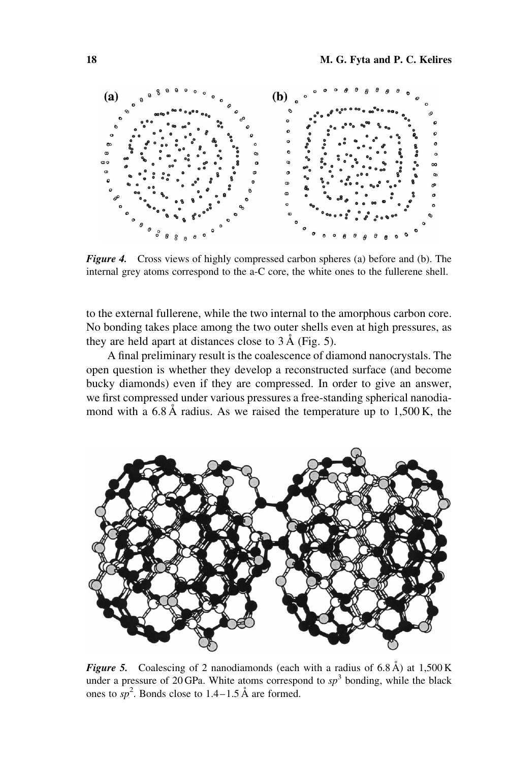

Figure 4. Cross views of highly compressed carbon spheres (a) before and (b). The internal grey atoms correspond to the a-C core, the white ones to the fullerene shell.

to the external fullerene, while the two internal to the amorphous carbon core. No bonding takes place among the two outer shells even at high pressures, as they are held apart at distances close to  $3 \text{\AA}$  (Fig. 5).

A final preliminary result is the coalescence of diamond nanocrystals. The open question is whether they develop a reconstructed surface (and become bucky diamonds) even if they are compressed. In order to give an answer, we first compressed under various pressures a free-standing spherical nanodiamond with a  $6.8 \text{ Å}$  radius. As we raised the temperature up to  $1,500 \text{ K}$ , the



**Figure 5.** Coalescing of 2 nanodiamonds (each with a radius of  $6.8 \text{ Å}$ ) at  $1,500 \text{ K}$ under a pressure of 20 GPa. White atoms correspond to  $sp<sup>3</sup>$  bonding, while the black ones to  $sp^2$ . Bonds close to 1.4–1.5 Å are formed.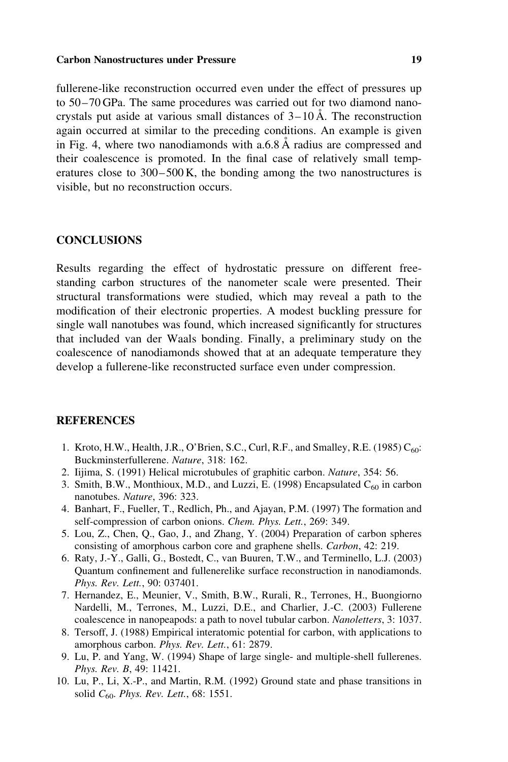### Carbon Nanostructures under Pressure 19

fullerene-like reconstruction occurred even under the effect of pressures up to 50– 70 GPa. The same procedures was carried out for two diamond nanocrystals put aside at various small distances of  $3-10 \text{ Å}$ . The reconstruction again occurred at similar to the preceding conditions. An example is given in Fig. 4, where two nanodiamonds with a.6.8  $\AA$  radius are compressed and their coalescence is promoted. In the final case of relatively small temperatures close to  $300-500$  K, the bonding among the two nanostructures is visible, but no reconstruction occurs.

## **CONCLUSIONS**

Results regarding the effect of hydrostatic pressure on different freestanding carbon structures of the nanometer scale were presented. Their structural transformations were studied, which may reveal a path to the modification of their electronic properties. A modest buckling pressure for single wall nanotubes was found, which increased significantly for structures that included van der Waals bonding. Finally, a preliminary study on the coalescence of nanodiamonds showed that at an adequate temperature they develop a fullerene-like reconstructed surface even under compression.

## **REFERENCES**

- 1. Kroto, H.W., Health, J.R., O'Brien, S.C., Curl, R.F., and Smalley, R.E. (1985)  $C_{60}$ : Buckminsterfullerene. Nature, 318: 162.
- 2. Iijima, S. (1991) Helical microtubules of graphitic carbon. Nature, 354: 56.
- 3. Smith, B.W., Monthioux, M.D., and Luzzi, E. (1998) Encapsulated  $C_{60}$  in carbon nanotubes. Nature, 396: 323.
- 4. Banhart, F., Fueller, T., Redlich, Ph., and Ajayan, P.M. (1997) The formation and self-compression of carbon onions. Chem. Phys. Lett., 269: 349.
- 5. Lou, Z., Chen, Q., Gao, J., and Zhang, Y. (2004) Preparation of carbon spheres consisting of amorphous carbon core and graphene shells. Carbon, 42: 219.
- 6. Raty, J.-Y., Galli, G., Bostedt, C., van Buuren, T.W., and Terminello, L.J. (2003) Quantum confinement and fullenerelike surface reconstruction in nanodiamonds. Phys. Rev. Lett., 90: 037401.
- 7. Hernandez, E., Meunier, V., Smith, B.W., Rurali, R., Terrones, H., Buongiorno Nardelli, M., Terrones, M., Luzzi, D.E., and Charlier, J.-C. (2003) Fullerene coalescence in nanopeapods: a path to novel tubular carbon. Nanoletters, 3: 1037.
- 8. Tersoff, J. (1988) Empirical interatomic potential for carbon, with applications to amorphous carbon. Phys. Rev. Lett., 61: 2879.
- 9. Lu, P. and Yang, W. (1994) Shape of large single- and multiple-shell fullerenes. Phys. Rev. B, 49: 11421.
- 10. Lu, P., Li, X.-P., and Martin, R.M. (1992) Ground state and phase transitions in solid  $C_{60}$ . Phys. Rev. Lett., 68: 1551.